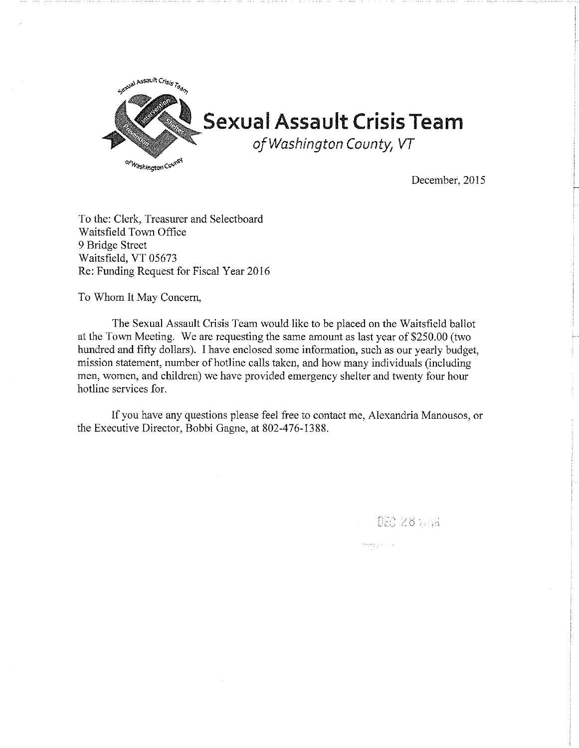

December, 2015

DEC 28 2014

مدانيا والإيرانية

To the: Clerk, Treasurer and Selectboard Waitsfield Town Office 9 Bridge Street Waitsfield, VT 05673 Re: Funding Request for Fiscal Year 2016

To Whom It May Concern,

The Sexual Assault Crisis Team would like to be placed on the Waitsfield ballot at the Town Meeting. We are requesting the same amount as last year of \$250.00 (two hundred and fifty dollars). I have enclosed some information, such as our yearly budget, mission statement, number of hotline calls taken, and how many individuals (including men, women, and children) we have provided emergency shelter and twenty four hour hotline services for.

If you have any questions please feel free to contact me, Alexandria Manousos, or the Executive Director, Bobbi Gagne, at 802-476-1388.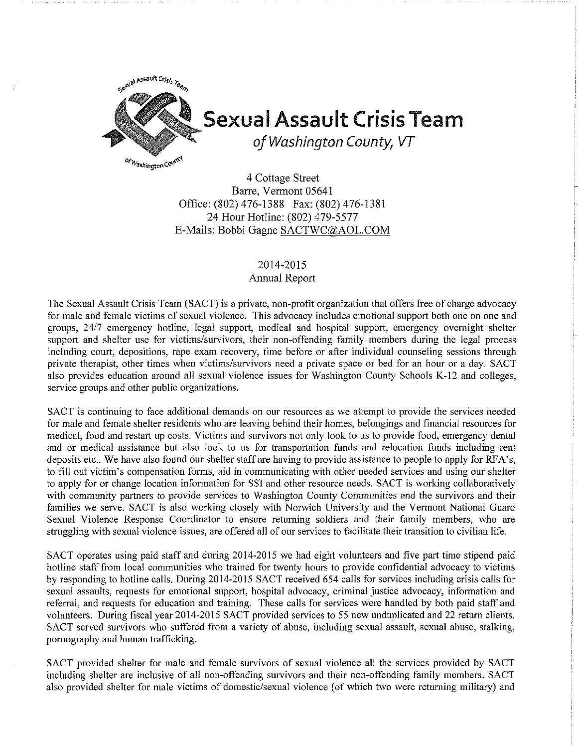

## **Sexual Assault Crisis Team**

*of Washington County, VT* 

4 Cottage Street Barre, Vermont 05641 Office: (802) 476-1388 Fax: (802) 476-1381 24 Hour Hotline: (802) 479-5577 E-Mails: Bobbi Gagne SACTWC@AOL.COM

## 2014-2015

## Annual Report

The Sexual Assault Crisis Team (SACT) is a private, non-profit organization that offers free of charge advocacy for male and female victims of sexual violence. This advocacy includes emotional support both one on one and groups, 24/7 emergency hotline, legal support, medical and hospital support, emergency overnight shelter support and shelter use for victims/survivors, their non-offending family members during the legal process including court, depositions, rape exam recovery, time before or after individual counseling sessions through private therapist, other times when victims/survivors need a private space or bed for an hour or a day. SACT also provides education around all sexual violence issues for Washington County Schools K-12 and colleges, service groups and other public organizations.

SACT is continuing to face additional demands on our resources as we attempt to provide the services needed for male and female shelter residents who are leaving behind their homes, belongings and financial resources for medical, food and restart up costs. Victims and survivors not only look to us to provide food, emergency dental and or medical assistance but also look to us for transportation funds and relocation funds including rent deposits etc.. We have also found our shelter staff are having to provide assistance to people to apply for RFA's, to fill out victim's compensation forms, aid in communicating with other needed services and using our shelter to apply for or change location information for SS! and other resource needs. SACT is working collaboratively with community partners to provide services to Washington County Communities and the survivors and their families we serve. SACT is also working closely with Norwich University and the Vermont National Guard Sexual Violence Response Coordinator to ensure returning soldiers and their family members, who are strnggling with sexual violence issues, are offered all of our services to facilitate their transition to civilian life.

SACT operates using paid staff and during 2014-2015 we had eight volunteers and five part time stipend paid hotline staff from local communities who trained for twenty hours to provide confidential advocacy to victims by responding to hotline calls. During 2014-2015 SACT received 654 calls for services including crisis calls for sexual assaults, requests for emotional support, hospital advocacy, criminal justice advocacy, information and referral, and requests for education and training. These calls for services were handled by both paid staff and volunteers. During fiscal year 2014-2015 SACT provided services to 55 new unduplicated and 22 return clients. SACT served survivors who suffered from a variety of abuse, including sexual assault, sexual abuse, stalking, pornography and human trafficking.

SACT provided shelter for male and female survivors of sexual violence all the services provided by SACT including shelter are inclusive of all non-offending survivors and their non-offending family members. SACT also provided shelter for male victims of domestic/sexual violence (of which two were returning military) and